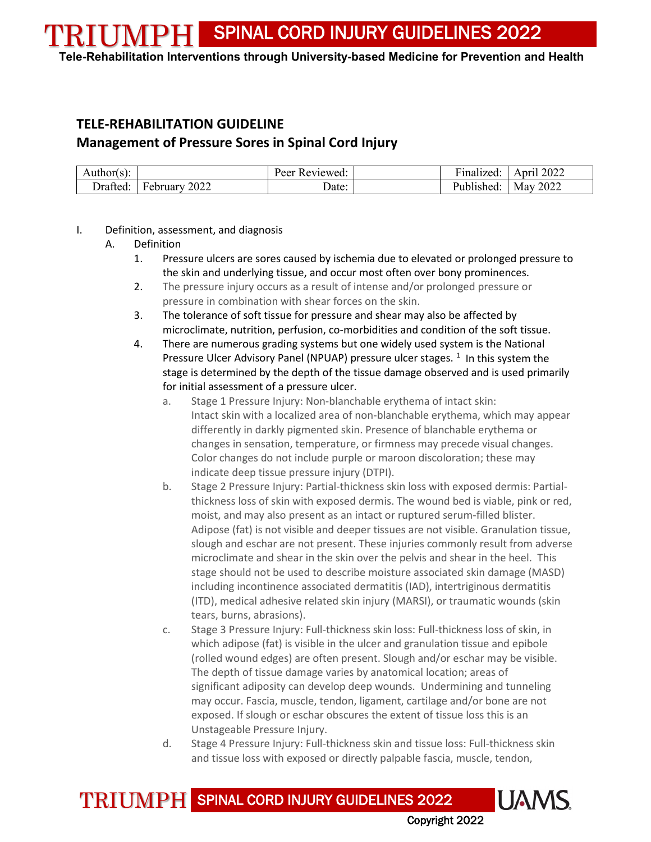**Tele-Rehabilitation Interventions through University-based Medicine for Prevention and Health**

# **TELE-REHABILITATION GUIDELINE Management of Pressure Sores in Spinal Cord Injury**

| Author(s).    |                                   | $\sim$<br>eviewed.<br>۳ρργ | $\cdot$<br>Finalized             | 2022<br>A nri |
|---------------|-----------------------------------|----------------------------|----------------------------------|---------------|
| <i>rafted</i> | 2022<br>$\blacksquare$<br>ebruary | ⊃ate:                      | 1hI<br>יי<br>lished <sup>.</sup> | 2022<br>May   |

#### I. Definition, assessment, and diagnosis

- A. Definition
	- 1. Pressure ulcers are sores caused by ischemia due to elevated or prolonged pressure to the skin and underlying tissue, and occur most often over bony prominences.
	- 2. The pressure injury occurs as a result of intense and/or prolonged pressure or pressure in combination with shear forces on the skin.
	- 3. The tolerance of soft tissue for pressure and shear may also be affected by microclimate, nutrition, perfusion, co-morbidities and condition of the soft tissue.
	- 4. There are numerous grading systems but one widely used system is the National Pressure Ulcer Advisory Panel (NPUAP) pressure ulcer stages. <sup>[1](#page-9-0)</sup> In this system the stage is determined by the depth of the tissue damage observed and is used primarily for initial assessment of a pressure ulcer.
		- a. Stage 1 Pressure Injury: Non-blanchable erythema of intact skin: Intact skin with a localized area of non-blanchable erythema, which may appear differently in darkly pigmented skin. Presence of blanchable erythema or changes in sensation, temperature, or firmness may precede visual changes. Color changes do not include purple or maroon discoloration; these may indicate deep tissue pressure injury (DTPI).
		- b. Stage 2 Pressure Injury: Partial-thickness skin loss with exposed dermis: Partialthickness loss of skin with exposed dermis. The wound bed is viable, pink or red, moist, and may also present as an intact or ruptured serum-filled blister. Adipose (fat) is not visible and deeper tissues are not visible. Granulation tissue, slough and eschar are not present. These injuries commonly result from adverse microclimate and shear in the skin over the pelvis and shear in the heel. This stage should not be used to describe moisture associated skin damage (MASD) including incontinence associated dermatitis (IAD), intertriginous dermatitis (ITD), medical adhesive related skin injury (MARSI), or traumatic wounds (skin tears, burns, abrasions).
		- c. Stage 3 Pressure Injury: Full-thickness skin loss: Full-thickness loss of skin, in which adipose (fat) is visible in the ulcer and granulation tissue and epibole (rolled wound edges) are often present. Slough and/or eschar may be visible. The depth of tissue damage varies by anatomical location; areas of significant adiposity can develop deep wounds. Undermining and tunneling may occur. Fascia, muscle, tendon, ligament, cartilage and/or bone are not exposed. If slough or eschar obscures the extent of tissue loss this is an Unstageable Pressure Injury.
		- d. Stage 4 Pressure Injury: Full-thickness skin and tissue loss: Full-thickness skin and tissue loss with exposed or directly palpable fascia, muscle, tendon,

TRIUMPH SPINAL CORD INJURY GUIDELINES 2022

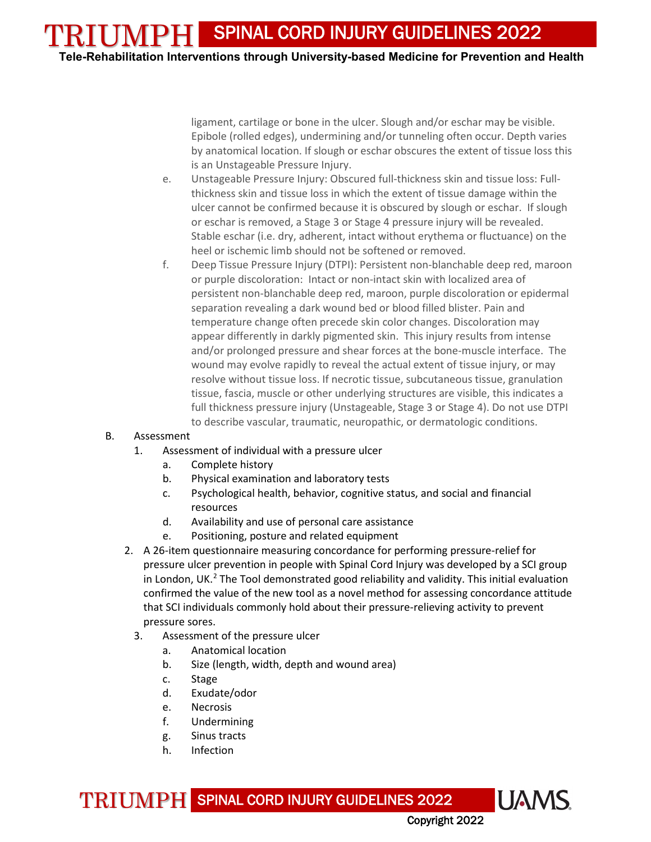TRIUMPH **Tele-Rehabilitation Interventions through University-based Medicine for Prevention and Health**

> ligament, cartilage or bone in the ulcer. Slough and/or eschar may be visible. Epibole (rolled edges), undermining and/or tunneling often occur. Depth varies by anatomical location. If slough or eschar obscures the extent of tissue loss this is an Unstageable Pressure Injury.

- e. Unstageable Pressure Injury: Obscured full-thickness skin and tissue loss: Fullthickness skin and tissue loss in which the extent of tissue damage within the ulcer cannot be confirmed because it is obscured by slough or eschar. If slough or eschar is removed, a Stage 3 or Stage 4 pressure injury will be revealed. Stable eschar (i.e. dry, adherent, intact without erythema or fluctuance) on the heel or ischemic limb should not be softened or removed.
- f. Deep Tissue Pressure Injury (DTPI): Persistent non-blanchable deep red, maroon or purple discoloration: Intact or non-intact skin with localized area of persistent non-blanchable deep red, maroon, purple discoloration or epidermal separation revealing a dark wound bed or blood filled blister. Pain and temperature change often precede skin color changes. Discoloration may appear differently in darkly pigmented skin. This injury results from intense and/or prolonged pressure and shear forces at the bone-muscle interface. The wound may evolve rapidly to reveal the actual extent of tissue injury, or may resolve without tissue loss. If necrotic tissue, subcutaneous tissue, granulation tissue, fascia, muscle or other underlying structures are visible, this indicates a full thickness pressure injury (Unstageable, Stage 3 or Stage 4). Do not use DTPI to describe vascular, traumatic, neuropathic, or dermatologic conditions.

#### B. Assessment

- 1. Assessment of individual with a pressure ulcer
	- a. Complete history
	- b. Physical examination and laboratory tests
	- c. Psychological health, behavior, cognitive status, and social and financial resources
	- d. Availability and use of personal care assistance
	- e. Positioning, posture and related equipment
- 2. A 26-item questionnaire measuring concordance for performing pressure-relief for pressure ulcer prevention in people with Spinal Cord Injury was developed by a SCI group in London, UK. $<sup>2</sup>$  $<sup>2</sup>$  $<sup>2</sup>$  The Tool demonstrated good reliability and validity. This initial evaluation</sup> confirmed the value of the new tool as a novel method for assessing concordance attitude that SCI individuals commonly hold about their pressure-relieving activity to prevent pressure sores.
	- 3. Assessment of the pressure ulcer
		- a. Anatomical location
		- b. Size (length, width, depth and wound area)
		- c. Stage
		- d. Exudate/odor
		- e. Necrosis
		- f. Undermining
		- g. Sinus tracts
		- h. Infection

TRIUMPH SPINAL CORD INJURY GUIDELINES 2022

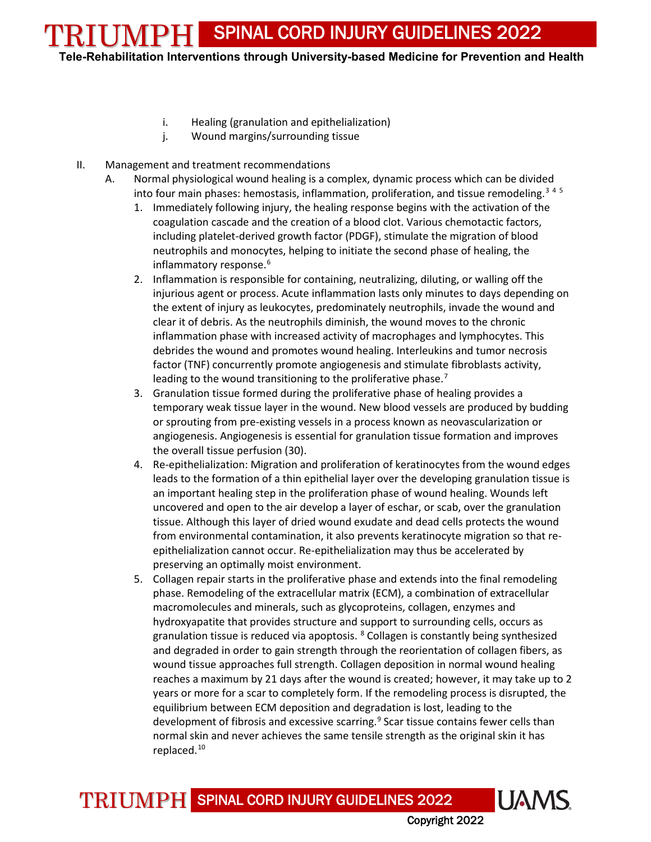**Tele-Rehabilitation Interventions through University-based Medicine for Prevention and Health**

- i. Healing (granulation and epithelialization)
- j. Wound margins/surrounding tissue
- II. Management and treatment recommendations
	- A. Normal physiological wound healing is a complex, dynamic process which can be divided into four main phases: hemostasis, inflammation, proliferation, and tissue remodeling.<sup>[3](#page-9-2)[4](#page-9-3)[5](#page-9-4)</sup>
		- 1. Immediately following injury, the healing response begins with the activation of the coagulation cascade and the creation of a blood clot. Various chemotactic factors, including platelet-derived growth factor (PDGF), stimulate the migration of blood neutrophils and monocytes, helping to initiate the second phase of healing, the inflammatory response.<sup>[6](#page-9-5)</sup>
		- 2. Inflammation is responsible for containing, neutralizing, diluting, or walling off the injurious agent or process. Acute inflammation lasts only minutes to days depending on the extent of injury as leukocytes, predominately neutrophils, invade the wound and clear it of debris. As the neutrophils diminish, the wound moves to the chronic inflammation phase with increased activity of macrophages and lymphocytes. This debrides the wound and promotes wound healing. Interleukins and tumor necrosis factor (TNF) concurrently promote angiogenesis and stimulate fibroblasts activity, leading to the wound transitioning to the proliferative phase.<sup>[7](#page-9-6)</sup>
		- 3. Granulation tissue formed during the proliferative phase of healing provides a temporary weak tissue layer in the wound. New blood vessels are produced by budding or sprouting from pre-existing vessels in a process known as neovascularization or angiogenesis. Angiogenesis is essential for granulation tissue formation and improves the overall tissue perfusion (30).
		- 4. Re-epithelialization: Migration and proliferation of keratinocytes from the wound edges leads to the formation of a thin epithelial layer over the developing granulation tissue is an important healing step in the proliferation phase of wound healing. Wounds left uncovered and open to the air develop a layer of eschar, or scab, over the granulation tissue. Although this layer of dried wound exudate and dead cells protects the wound from environmental contamination, it also prevents keratinocyte migration so that reepithelialization cannot occur. Re-epithelialization may thus be accelerated by preserving an optimally moist environment.
		- 5. Collagen repair starts in the proliferative phase and extends into the final remodeling phase. Remodeling of the extracellular matrix (ECM), a combination of extracellular macromolecules and minerals, such as glycoproteins, collagen, enzymes and hydroxyapatite that provides structure and support to surrounding cells, occurs as granulation tissue is reduced via apoptosis.  $8$  Collagen is constantly being synthesized and degraded in order to gain strength through the reorientation of collagen fibers, as wound tissue approaches full strength. Collagen deposition in normal wound healing reaches a maximum by 21 days after the wound is created; however, it may take up to 2 years or more for a scar to completely form. If the remodeling process is disrupted, the equilibrium between ECM deposition and degradation is lost, leading to the development of fibrosis and excessive scarring. [9](#page-9-8) Scar tissue contains fewer cells than normal skin and never achieves the same tensile strength as the original skin it has replaced. [10](#page-9-9)

TRIUMPH SPINAL CORD INJURY GUIDELINES 2022

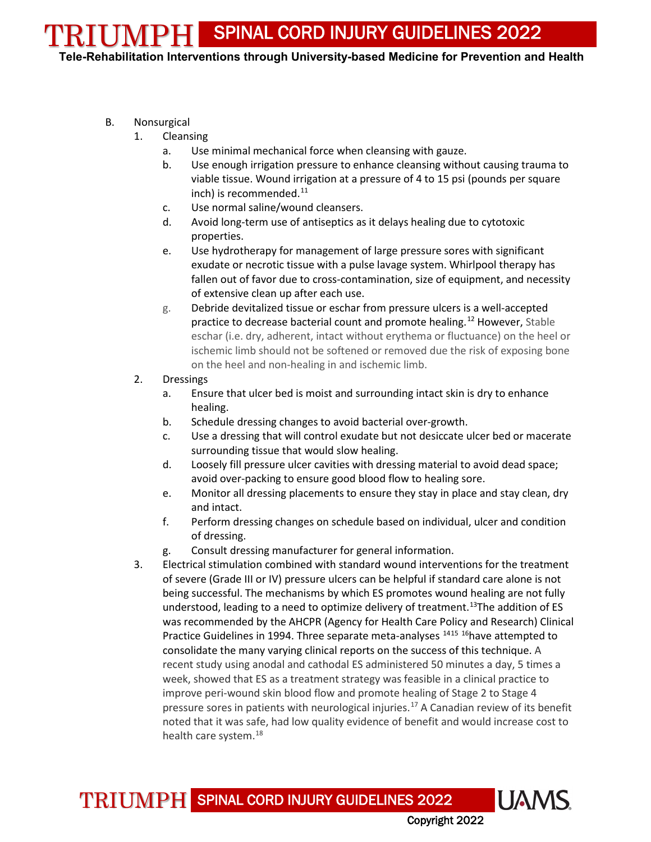TRIUMPH **Tele-Rehabilitation Interventions through University-based Medicine for Prevention and Health**

- B. Nonsurgical
	- 1. Cleansing
		- a. Use minimal mechanical force when cleansing with gauze.
		- b. Use enough irrigation pressure to enhance cleansing without causing trauma to viable tissue. Wound irrigation at a pressure of 4 to 15 psi (pounds per square inch) is recommended. $11$
		- c. Use normal saline/wound cleansers.
		- d. Avoid long-term use of antiseptics as it delays healing due to cytotoxic properties.
		- e. Use hydrotherapy for management of large pressure sores with significant exudate or necrotic tissue with a pulse lavage system. Whirlpool therapy has fallen out of favor due to cross-contamination, size of equipment, and necessity of extensive clean up after each use.
		- g. Debride devitalized tissue or eschar from pressure ulcers is a well-accepted practice to decrease bacterial count and promote healing.<sup>[12](#page-9-11)</sup> However, Stable eschar (i.e. dry, adherent, intact without erythema or fluctuance) on the heel or ischemic limb should not be softened or removed due the risk of exposing bone on the heel and non-healing in and ischemic limb.
	- 2. Dressings
		- a. Ensure that ulcer bed is moist and surrounding intact skin is dry to enhance healing.
		- b. Schedule dressing changes to avoid bacterial over-growth.
		- c. Use a dressing that will control exudate but not desiccate ulcer bed or macerate surrounding tissue that would slow healing.
		- d. Loosely fill pressure ulcer cavities with dressing material to avoid dead space; avoid over-packing to ensure good blood flow to healing sore.
		- e. Monitor all dressing placements to ensure they stay in place and stay clean, dry and intact.
		- f. Perform dressing changes on schedule based on individual, ulcer and condition of dressing.
		- g. Consult dressing manufacturer for general information.
	- 3. Electrical stimulation combined with standard wound interventions for the treatment of severe (Grade III or IV) pressure ulcers can be helpful if standard care alone is not being successful. The mechanisms by which ES promotes wound healing are not fully understood, leading to a need to optimize delivery of treatment.<sup>13</sup>The addition of ES was recommended by the AHCPR (Agency for Health Care Policy and Research) Clinical Practice Guidelines in 1994. Three separate meta-analyses <sup>[14](#page-10-1)[15](#page-10-2) [16](#page-10-3)</sup>have attempted to consolidate the many varying clinical reports on the success of this technique. A recent study using anodal and cathodal ES administered 50 minutes a day, 5 times a week, showed that ES as a treatment strategy was feasible in a clinical practice to improve peri-wound skin blood flow and promote healing of Stage 2 to Stage 4 pressure sores in patients with neurological injuries.<sup>[17](#page-10-4)</sup> A Canadian review of its benefit noted that it was safe, had low quality evidence of benefit and would increase cost to health care system.<sup>18</sup>

TRIUMPH SPINAL CORD INJURY GUIDELINES 2022

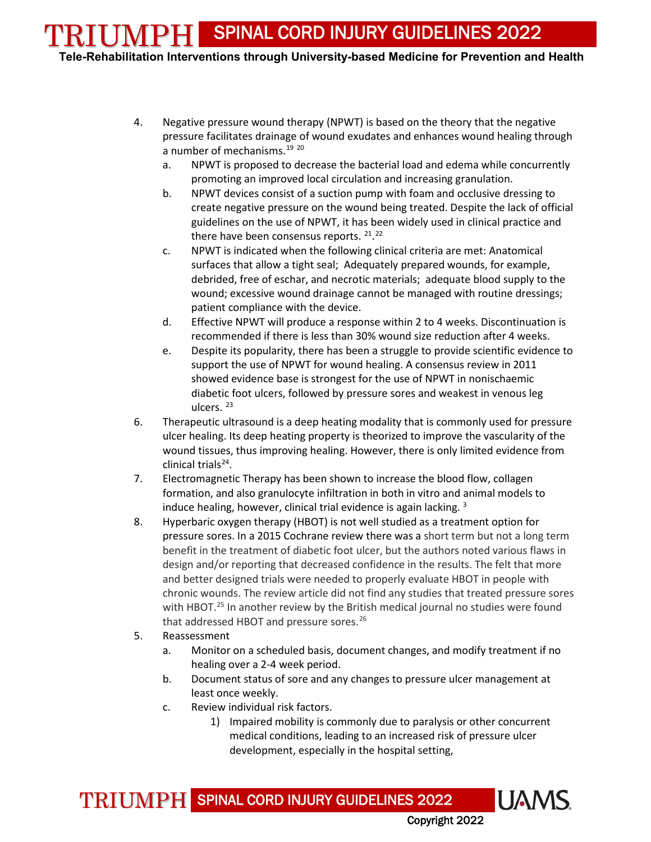**Tele-Rehabilitation Interventions through University-based Medicine for Prevention and Health**

- 4. Negative pressure wound therapy (NPWT) is based on the theory that the negative pressure facilitates drainage of wound exudates and enhances wound healing through a number of mechanisms.<sup>[19](#page-10-6) [20](#page-10-7)</sup>
	- a. NPWT is proposed to decrease the bacterial load and edema while concurrently promoting an improved local circulation and increasing granulation.
	- b. NPWT devices consist of a suction pump with foam and occlusive dressing to create negative pressure on the wound being treated. Despite the lack of official guidelines on the use of NPWT, it has been widely used in clinical practice and there have been consensus reports. <sup>21</sup>.<sup>[22](#page-10-9)</sup>
	- c. NPWT is indicated when the following clinical criteria are met: Anatomical surfaces that allow a tight seal; Adequately prepared wounds, for example, debrided, free of eschar, and necrotic materials; adequate blood supply to the wound; excessive wound drainage cannot be managed with routine dressings; patient compliance with the device.
	- d. Effective NPWT will produce a response within 2 to 4 weeks. Discontinuation is recommended if there is less than 30% wound size reduction after 4 weeks.
	- e. Despite its popularity, there has been a struggle to provide scientific evidence to support the use of NPWT for wound healing. A consensus review in 2011 showed evidence base is strongest for the use of NPWT in nonischaemic diabetic foot ulcers, followed by pressure sores and weakest in venous leg ulcers. [23](#page-10-10)
- 6. Therapeutic ultrasound is a deep heating modality that is commonly used for pressure ulcer healing. Its deep heating property is theorized to improve the vascularity of the wound tissues, thus improving healing. However, there is only limited evidence from clinical trials<sup>24</sup>.
- 7. Electromagnetic Therapy has been shown to increase the blood flow, collagen formation, and also granulocyte infiltration in both in vitro and animal models to induce healing, however, clinical trial evidence is again lacking.<sup>3</sup>
- 8. Hyperbaric oxygen therapy (HBOT) is not well studied as a treatment option for pressure sores. In a 2015 Cochrane review there was a short term but not a long term benefit in the treatment of diabetic foot ulcer, but the authors noted various flaws in design and/or reporting that decreased confidence in the results. The felt that more and better designed trials were needed to properly evaluate HBOT in people with chronic wounds. The review article did not find any studies that treated pressure sores with HBOT.<sup>[25](#page-10-12)</sup> In another review by the British medical journal no studies were found that addressed HBOT and pressure sores.<sup>[26](#page-10-13)</sup>
- 5. Reassessment
	- a. Monitor on a scheduled basis, document changes, and modify treatment if no healing over a 2-4 week period.
	- b. Document status of sore and any changes to pressure ulcer management at least once weekly.
	- c. Review individual risk factors.
		- 1) Impaired mobility is commonly due to paralysis or other concurrent medical conditions, leading to an increased risk of pressure ulcer development, especially in the hospital setting,

Copyright 2022

**UAMS** 

TRIUMPH SPINAL CORD INJURY GUIDELINES 2022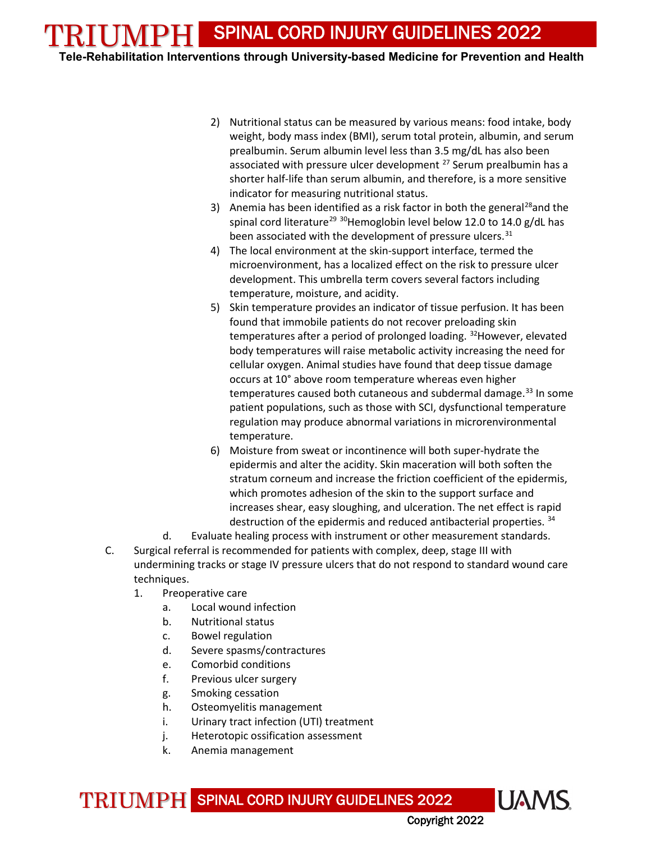**Tele-Rehabilitation Interventions through University-based Medicine for Prevention and Health**

- 2) Nutritional status can be measured by various means: food intake, body weight, body mass index (BMI), serum total protein, albumin, and serum prealbumin. Serum albumin level less than 3.5 mg/dL has also been associated with pressure ulcer development <sup>[27](#page-10-14)</sup> Serum prealbumin has a shorter half-life than serum albumin, and therefore, is a more sensitive indicator for measuring nutritional status.
- 3) Anemia has been identified as a risk factor in both the general<sup>28</sup> and the spinal cord literature<sup>[29](#page-10-16)</sup> <sup>30</sup>Hemoglobin level below 12.0 to 14.0 g/dL has been associated with the development of pressure ulcers.<sup>[31](#page-10-18)</sup>
- 4) The local environment at the skin-support interface, termed the microenvironment, has a localized effect on the risk to pressure ulcer development. This umbrella term covers several factors including temperature, moisture, and acidity.
- 5) Skin temperature provides an indicator of tissue perfusion. It has been found that immobile patients do not recover preloading skin temperatures after a period of prolonged loading. <sup>[32](#page-10-19)</sup>However, elevated body temperatures will raise metabolic activity increasing the need for cellular oxygen. Animal studies have found that deep tissue damage occurs at 10° above room temperature whereas even higher temperatures caused both cutaneous and subdermal damage. $33$  In some patient populations, such as those with SCI, dysfunctional temperature regulation may produce abnormal variations in microrenvironmental temperature.
- 6) Moisture from sweat or incontinence will both super-hydrate the epidermis and alter the acidity. Skin maceration will both soften the stratum corneum and increase the friction coefficient of the epidermis, which promotes adhesion of the skin to the support surface and increases shear, easy sloughing, and ulceration. The net effect is rapid destruction of the epidermis and reduced antibacterial properties. [34](#page-11-0)
- d. Evaluate healing process with instrument or other measurement standards.
- C. Surgical referral is recommended for patients with complex, deep, stage III with undermining tracks or stage IV pressure ulcers that do not respond to standard wound care techniques.
	- 1. Preoperative care
		- a. Local wound infection
		- b. Nutritional status
		- c. Bowel regulation
		- d. Severe spasms/contractures
		- e. Comorbid conditions
		- f. Previous ulcer surgery
		- g. Smoking cessation
		- h. Osteomyelitis management
		- i. Urinary tract infection (UTI) treatment
		- j. Heterotopic ossification assessment
		- k. Anemia management

TRIUMPH SPINAL CORD INJURY GUIDELINES 2022

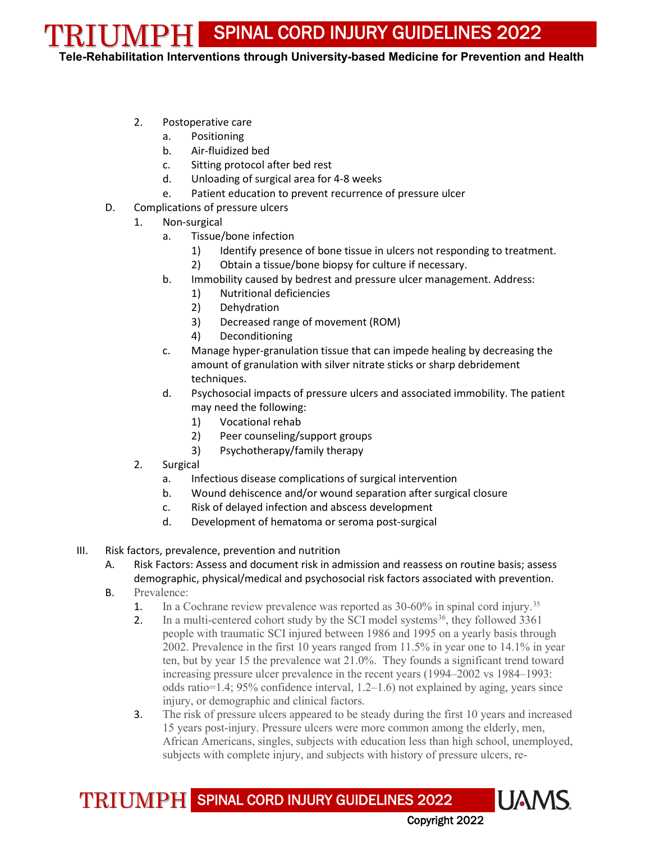TRIUMPH **Tele-Rehabilitation Interventions through University-based Medicine for Prevention and Health**

- 2. Postoperative care
	- a. Positioning
	- b. Air-fluidized bed
	- c. Sitting protocol after bed rest
	- d. Unloading of surgical area for 4-8 weeks
	- e. Patient education to prevent recurrence of pressure ulcer
- D. Complications of pressure ulcers
	- 1. Non-surgical
		- a. Tissue/bone infection
			- 1) Identify presence of bone tissue in ulcers not responding to treatment.
			- 2) Obtain a tissue/bone biopsy for culture if necessary.
		- b. Immobility caused by bedrest and pressure ulcer management. Address:
			- 1) Nutritional deficiencies
			- 2) Dehydration
			- 3) Decreased range of movement (ROM)
			- 4) Deconditioning
		- c. Manage hyper-granulation tissue that can impede healing by decreasing the amount of granulation with silver nitrate sticks or sharp debridement techniques.
		- d. Psychosocial impacts of pressure ulcers and associated immobility. The patient may need the following:
			- 1) Vocational rehab
			- 2) Peer counseling/support groups
			- 3) Psychotherapy/family therapy
	- 2. Surgical
		- a. Infectious disease complications of surgical intervention
		- b. Wound dehiscence and/or wound separation after surgical closure
		- c. Risk of delayed infection and abscess development
		- d. Development of hematoma or seroma post-surgical
- III. Risk factors, prevalence, prevention and nutrition
	- A. Risk Factors: Assess and document risk in admission and reassess on routine basis; assess demographic, physical/medical and psychosocial risk factors associated with prevention.
	- B. Prevalence:
		- 1. In a Cochrane review prevalence was reported as 30-60% in spinal cord injury.<sup>[35](#page-11-1)</sup>
		- 2. In a multi-centered cohort study by the SCI model systems<sup>[36](#page-11-2)</sup>, they followed  $3361$ people with traumatic SCI injured between 1986 and 1995 on a yearly basis through 2002. Prevalence in the first 10 years ranged from 11.5% in year one to 14.1% in year ten, but by year 15 the prevalence wat 21.0%. They founds a significant trend toward increasing pressure ulcer prevalence in the recent years (1994–2002 vs 1984–1993: odds ratio=1.4; 95% confidence interval, 1.2–1.6) not explained by aging, years since injury, or demographic and clinical factors.
		- 3. The risk of pressure ulcers appeared to be steady during the first 10 years and increased 15 years post-injury. Pressure ulcers were more common among the elderly, men, African Americans, singles, subjects with education less than high school, unemployed, subjects with complete injury, and subjects with history of pressure ulcers, re-

TRIUMPH SPINAL CORD INJURY GUIDELINES 2022

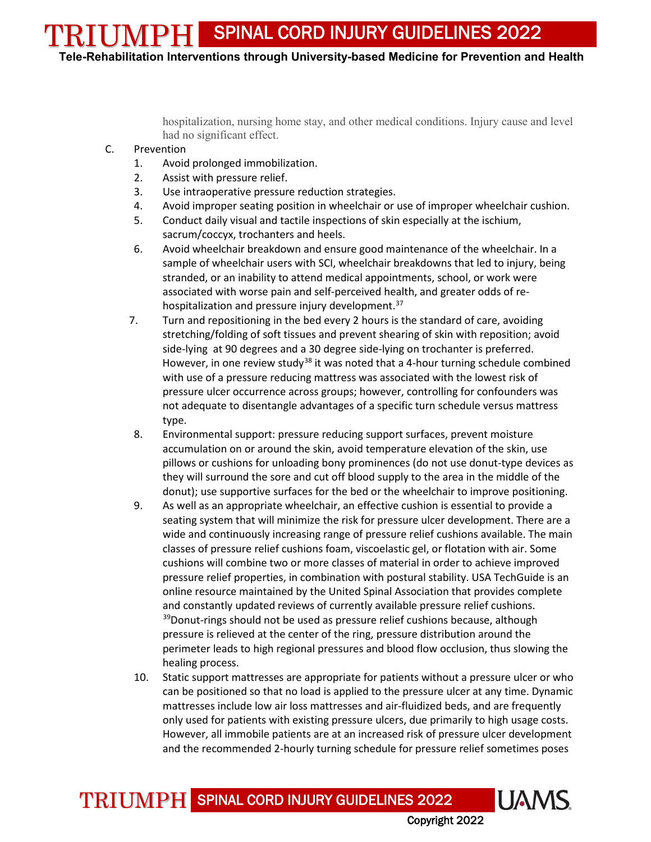TRIUMPH **Tele-Rehabilitation Interventions through University-based Medicine for Prevention and Health**

> hospitalization, nursing home stay, and other medical conditions. Injury cause and level had no significant effect.

- C. Prevention
	- 1. Avoid prolonged immobilization.
	- 2. Assist with pressure relief.
	- 3. Use intraoperative pressure reduction strategies.
	- 4. Avoid improper seating position in wheelchair or use of improper wheelchair cushion.
	- 5. Conduct daily visual and tactile inspections of skin especially at the ischium, sacrum/coccyx, trochanters and heels.
	- 6. Avoid wheelchair breakdown and ensure good maintenance of the wheelchair. In a sample of wheelchair users with SCI, wheelchair breakdowns that led to injury, being stranded, or an inability to attend medical appointments, school, or work were associated with worse pain and self-perceived health, and greater odds of re-hospitalization and pressure injury development.<sup>[37](#page-11-3)</sup>
	- 7. Turn and repositioning in the bed every 2 hours is the standard of care, avoiding stretching/folding of soft tissues and prevent shearing of skin with reposition; avoid side-lying at 90 degrees and a 30 degree side-lying on trochanter is preferred. However, in one review study<sup>[38](#page-11-4)</sup> it was noted that a 4-hour turning schedule combined with use of a pressure reducing mattress was associated with the lowest risk of pressure ulcer occurrence across groups; however, controlling for confounders was not adequate to disentangle advantages of a specific turn schedule versus mattress type.
	- 8. Environmental support: pressure reducing support surfaces, prevent moisture accumulation on or around the skin, avoid temperature elevation of the skin, use pillows or cushions for unloading bony prominences (do not use donut-type devices as they will surround the sore and cut off blood supply to the area in the middle of the donut); use supportive surfaces for the bed or the wheelchair to improve positioning.
	- 9. As well as an appropriate wheelchair, an effective cushion is essential to provide a seating system that will minimize the risk for pressure ulcer development. There are a wide and continuously increasing range of pressure relief cushions available. The main classes of pressure relief cushions foam, viscoelastic gel, or flotation with air. Some cushions will combine two or more classes of material in order to achieve improved pressure relief properties, in combination with postural stability. USA TechGuide is an online resource maintained by the United Spinal Association that provides complete and constantly updated reviews of currently available pressure relief cushions. <sup>[39](#page-11-5)</sup>Donut-rings should not be used as pressure relief cushions because, although pressure is relieved at the center of the ring, pressure distribution around the perimeter leads to high regional pressures and blood flow occlusion, thus slowing the healing process.
	- 10. Static support mattresses are appropriate for patients without a pressure ulcer or who can be positioned so that no load is applied to the pressure ulcer at any time. Dynamic mattresses include low air loss mattresses and air-fluidized beds, and are frequently only used for patients with existing pressure ulcers, due primarily to high usage costs. However, all immobile patients are at an increased risk of pressure ulcer development and the recommended 2-hourly turning schedule for pressure relief sometimes poses

TRIUMPH SPINAL CORD INJURY GUIDELINES 2022

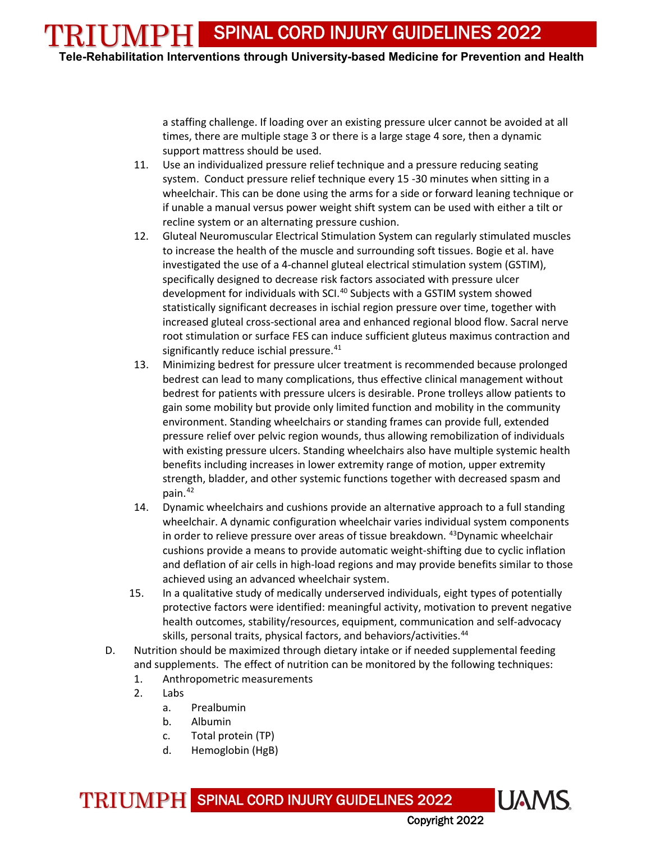TRIUMPH **Tele-Rehabilitation Interventions through University-based Medicine for Prevention and Health**

> a staffing challenge. If loading over an existing pressure ulcer cannot be avoided at all times, there are multiple stage 3 or there is a large stage 4 sore, then a dynamic support mattress should be used.

- 11. Use an individualized pressure relief technique and a pressure reducing seating system. Conduct pressure relief technique every 15 -30 minutes when sitting in a wheelchair. This can be done using the arms for a side or forward leaning technique or if unable a manual versus power weight shift system can be used with either a tilt or recline system or an alternating pressure cushion.
- 12. Gluteal Neuromuscular Electrical Stimulation System can regularly stimulated muscles to increase the health of the muscle and surrounding soft tissues. Bogie et al. have investigated the use of a 4-channel gluteal electrical stimulation system (GSTIM), specifically designed to decrease risk factors associated with pressure ulcer development for individuals with SCI.<sup>[40](#page-11-6)</sup> Subjects with a GSTIM system showed statistically significant decreases in ischial region pressure over time, together with increased gluteal cross-sectional area and enhanced regional blood flow. Sacral nerve root stimulation or surface FES can induce sufficient gluteus maximus contraction and significantly reduce ischial pressure. $41$
- 13. Minimizing bedrest for pressure ulcer treatment is recommended because prolonged bedrest can lead to many complications, thus effective clinical management without bedrest for patients with pressure ulcers is desirable. Prone trolleys allow patients to gain some mobility but provide only limited function and mobility in the community environment. Standing wheelchairs or standing frames can provide full, extended pressure relief over pelvic region wounds, thus allowing remobilization of individuals with existing pressure ulcers. Standing wheelchairs also have multiple systemic health benefits including increases in lower extremity range of motion, upper extremity strength, bladder, and other systemic functions together with decreased spasm and pain. $42$
- 14. Dynamic wheelchairs and cushions provide an alternative approach to a full standing wheelchair. A dynamic configuration wheelchair varies individual system components in order to relieve pressure over areas of tissue breakdown. <sup>43</sup>Dynamic wheelchair cushions provide a means to provide automatic weight-shifting due to cyclic inflation and deflation of air cells in high-load regions and may provide benefits similar to those achieved using an advanced wheelchair system.
- 15. In a qualitative study of medically underserved individuals, eight types of potentially protective factors were identified: meaningful activity, motivation to prevent negative health outcomes, stability/resources, equipment, communication and self-advocacy skills, personal traits, physical factors, and behaviors/activities.<sup>[44](#page-11-10)</sup>
- D. Nutrition should be maximized through dietary intake or if needed supplemental feeding and supplements. The effect of nutrition can be monitored by the following techniques:
	- 1. Anthropometric measurements
	- 2. Labs
		- a. Prealbumin
		- b. Albumin
		- c. Total protein (TP)
		- d. Hemoglobin (HgB)

TRIUMPH SPINAL CORD INJURY GUIDELINES 2022

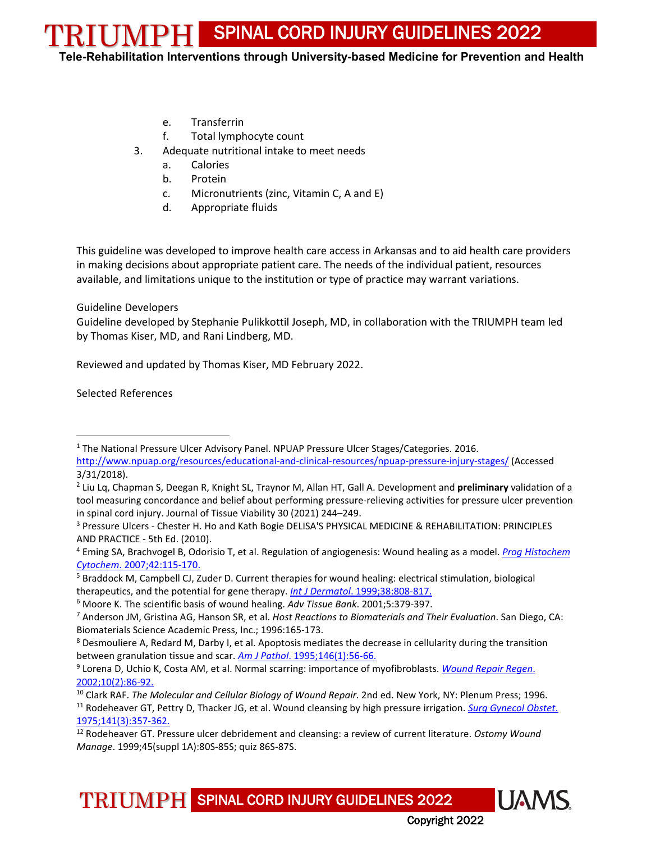TRIUMPH **Tele-Rehabilitation Interventions through University-based Medicine for Prevention and Health**

- e. Transferrin
- f. Total lymphocyte count
- 3. Adequate nutritional intake to meet needs
	- a. Calories
	- b. Protein
	- c. Micronutrients (zinc, Vitamin C, A and E)
	- d. Appropriate fluids

This guideline was developed to improve health care access in Arkansas and to aid health care providers in making decisions about appropriate patient care. The needs of the individual patient, resources available, and limitations unique to the institution or type of practice may warrant variations.

#### Guideline Developers

Guideline developed by Stephanie Pulikkottil Joseph, MD, in collaboration with the TRIUMPH team led by Thomas Kiser, MD, and Rani Lindberg, MD.

Reviewed and updated by Thomas Kiser, MD February 2022.

Selected References

 $\overline{\phantom{a}}$ 

<span id="page-9-3"></span><sup>4</sup> Eming SA, Brachvogel B, Odorisio T, et al. Regulation of angiogenesis: Wound healing as a model. *[Prog Histochem](http://online.statref.com.libproxy.uams.edu/WebAPI/ExternalForward.aspx?parent=489%2F349&SessionID=28CED51MXGNXMTXY&url=http%3A%2F%2Fwww.ncbi.nlm.nih.gov%2Fentrez%2Fquery.fcgi%3Fdb%3DPubMed%26cmd%3DSearch%26defaultField%3DTitle%2BWord%26term%3Dprog%2Bhistochem%2Bcytochem%5Bjour%5D%2BAND%2B42%5Bvolume%5D%2BAND%2B115%5Bpage%5D%2BAND%2B2007%5Bpdat%5D%26doptcmdl%3Dabstract)  Cytochem*[. 2007;42:115-170.](http://online.statref.com.libproxy.uams.edu/WebAPI/ExternalForward.aspx?parent=489%2F349&SessionID=28CED51MXGNXMTXY&url=http%3A%2F%2Fwww.ncbi.nlm.nih.gov%2Fentrez%2Fquery.fcgi%3Fdb%3DPubMed%26cmd%3DSearch%26defaultField%3DTitle%2BWord%26term%3Dprog%2Bhistochem%2Bcytochem%5Bjour%5D%2BAND%2B42%5Bvolume%5D%2BAND%2B115%5Bpage%5D%2BAND%2B2007%5Bpdat%5D%26doptcmdl%3Dabstract)

TRIUMPH SPINAL CORD INJURY GUIDELINES 2022



<span id="page-9-0"></span><sup>1</sup> The National Pressure Ulcer Advisory Panel. NPUAP Pressure Ulcer Stages/Categories. 2016. <http://www.npuap.org/resources/educational-and-clinical-resources/npuap-pressure-injury-stages/> (Accessed 3/31/2018).

<span id="page-9-1"></span><sup>2</sup> Liu Lq, Chapman S, Deegan R, Knight SL, Traynor M, Allan HT, Gall A. Development and **preliminary** validation of a tool measuring concordance and belief about performing pressure-relieving activities for pressure ulcer prevention in spinal cord injury. Journal of Tissue Viability 30 (2021) 244–249.

<span id="page-9-2"></span><sup>&</sup>lt;sup>3</sup> Pressure Ulcers - Chester H. Ho and Kath Bogie DELISA'S PHYSICAL MEDICINE & REHABILITATION: PRINCIPLES AND PRACTICE - 5th Ed. (2010).

<span id="page-9-4"></span><sup>5</sup> Braddock M, Campbell CJ, Zuder D. Current therapies for wound healing: electrical stimulation, biological therapeutics, and the potential for gene therapy. *Int J Dermatol*[. 1999;38:808-817.](http://online.statref.com.libproxy.uams.edu/WebAPI/ExternalForward.aspx?parent=489%2F349&SessionID=28D0982HLASTPWHV&url=http%3A%2F%2Fwww.ncbi.nlm.nih.gov%2Fentrez%2Fquery.fcgi%3Fdb%3DPubMed%26cmd%3DSearch%26defaultField%3DTitle%2BWord%26term%3Dint%2Bj%2Bdermatol%5Bjour%5D%2BAND%2B38%5Bvolume%5D%2BAND%2B808%5Bpage%5D%2BAND%2B1999%5Bpdat%5D%26doptcmdl%3Dabstract)

<span id="page-9-5"></span><sup>6</sup> Moore K. The scientific basis of wound healing. *Adv Tissue Bank*. 2001;5:379-397.

<span id="page-9-6"></span><sup>7</sup> Anderson JM, Gristina AG, Hanson SR, et al. *Host Reactions to Biomaterials and Their Evaluation*. San Diego, CA: Biomaterials Science Academic Press, Inc.; 1996:165-173.

<span id="page-9-7"></span><sup>8</sup> Desmouliere A, Redard M, Darby I, et al. Apoptosis mediates the decrease in cellularity during the transition between granulation tissue and scar. *Am J Pathol*[. 1995;146\(1\):56-66.](http://online.statref.com.libproxy.uams.edu/WebAPI/ExternalForward.aspx?parent=489%2F349&SessionID=28D0982HLASTPWHV&url=http%3A%2F%2Fwww.ncbi.nlm.nih.gov%2Fentrez%2Fquery.fcgi%3Fdb%3DPubMed%26cmd%3DSearch%26defaultField%3DTitle%2BWord%26term%3Dam%2Bj%2Bpathol%5Bjour%5D%2BAND%2B146%5Bvolume%5D%2BAND%2B1%5Bissue%5D%2BAND%2B56%5Bpage%5D%2BAND%2B1995%5Bpdat%5D%26doptcmdl%3Dabstract)

<span id="page-9-8"></span><sup>9</sup> Lorena D, Uchio K, Costa AM, et al. Normal scarring: importance of myofibroblasts. *[Wound Repair Regen](http://online.statref.com.libproxy.uams.edu/WebAPI/ExternalForward.aspx?parent=489%2F349&SessionID=28D0982HLASTPWHV&url=http%3A%2F%2Fwww.ncbi.nlm.nih.gov%2Fentrez%2Fquery.fcgi%3Fdb%3DPubMed%26cmd%3DSearch%26defaultField%3DTitle%2BWord%26term%3Dwound%2Brepair%2Bregen%5Bjour%5D%2BAND%2B10%5Bvolume%5D%2BAND%2B2%5Bissue%5D%2BAND%2B86%5Bpage%5D%2BAND%2B2002%5Bpdat%5D%26doptcmdl%3Dabstract)*. [2002;10\(2\):86-92.](http://online.statref.com.libproxy.uams.edu/WebAPI/ExternalForward.aspx?parent=489%2F349&SessionID=28D0982HLASTPWHV&url=http%3A%2F%2Fwww.ncbi.nlm.nih.gov%2Fentrez%2Fquery.fcgi%3Fdb%3DPubMed%26cmd%3DSearch%26defaultField%3DTitle%2BWord%26term%3Dwound%2Brepair%2Bregen%5Bjour%5D%2BAND%2B10%5Bvolume%5D%2BAND%2B2%5Bissue%5D%2BAND%2B86%5Bpage%5D%2BAND%2B2002%5Bpdat%5D%26doptcmdl%3Dabstract)

<span id="page-9-10"></span><span id="page-9-9"></span><sup>10</sup> Clark RAF. *The Molecular and Cellular Biology of Wound Repair*. 2nd ed. New York, NY: Plenum Press; 1996. <sup>11</sup> Rodeheaver GT, Pettry D, Thacker JG, et al. Wound cleansing by high pressure irrigation. *[Surg Gynecol Obstet](http://online.statref.com.libproxy.uams.edu/WebAPI/ExternalForward.aspx?parent=489%2F349&SessionID=28D0A53IOYMMKGHN&url=http%3A%2F%2Fwww.ncbi.nlm.nih.gov%2Fentrez%2Fquery.fcgi%3Fdb%3DPubMed%26cmd%3DSearch%26defaultField%3DTitle%2BWord%26term%3Dsurg%2Bgynecol%2Bobstet%5Bjour%5D%2BAND%2B141%5Bvolume%5D%2BAND%2B3%5Bissue%5D%2BAND%2B357%5Bpage%5D%2BAND%2B1975%5Bpdat%5D%26doptcmdl%3Dabstract)*. [1975;141\(3\):357-362.](http://online.statref.com.libproxy.uams.edu/WebAPI/ExternalForward.aspx?parent=489%2F349&SessionID=28D0A53IOYMMKGHN&url=http%3A%2F%2Fwww.ncbi.nlm.nih.gov%2Fentrez%2Fquery.fcgi%3Fdb%3DPubMed%26cmd%3DSearch%26defaultField%3DTitle%2BWord%26term%3Dsurg%2Bgynecol%2Bobstet%5Bjour%5D%2BAND%2B141%5Bvolume%5D%2BAND%2B3%5Bissue%5D%2BAND%2B357%5Bpage%5D%2BAND%2B1975%5Bpdat%5D%26doptcmdl%3Dabstract)

<span id="page-9-11"></span><sup>12</sup> Rodeheaver GT. Pressure ulcer debridement and cleansing: a review of current literature. *Ostomy Wound Manage*. 1999;45(suppl 1A):80S-85S; quiz 86S-87S.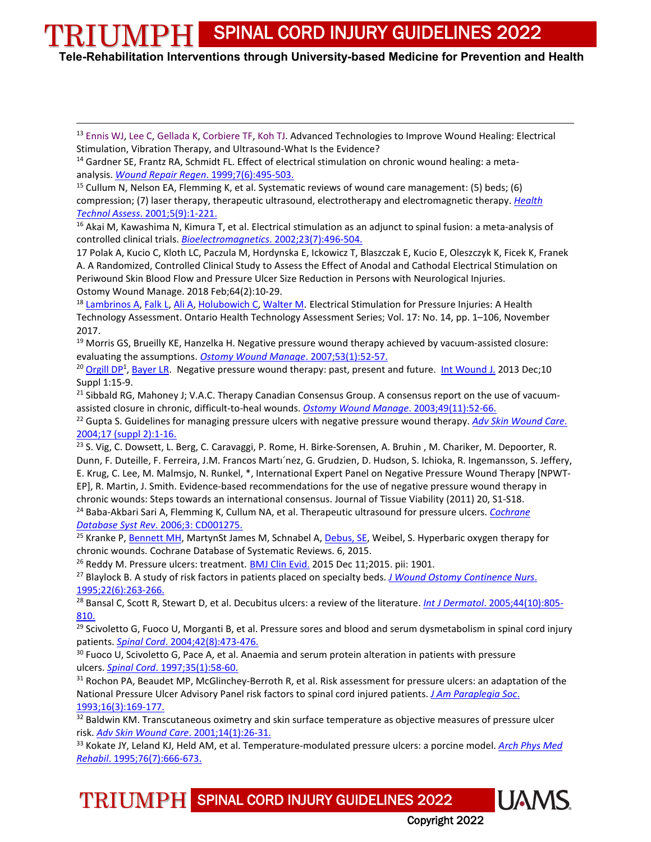**Tele-Rehabilitation Interventions through University-based Medicine for Prevention and Health**

<span id="page-10-0"></span><sup>13</sup> [Ennis WJ,](https://www.ncbi.nlm.nih.gov/pubmed/?term=Ennis%20WJ%5BAuthor%5D&cauthor=true&cauthor_uid=27556780) [Lee C,](https://www.ncbi.nlm.nih.gov/pubmed/?term=Lee%20C%5BAuthor%5D&cauthor=true&cauthor_uid=27556780) [Gellada K,](https://www.ncbi.nlm.nih.gov/pubmed/?term=Gellada%20K%5BAuthor%5D&cauthor=true&cauthor_uid=27556780) [Corbiere TF,](https://www.ncbi.nlm.nih.gov/pubmed/?term=Corbiere%20TF%5BAuthor%5D&cauthor=true&cauthor_uid=27556780) [Koh TJ.](https://www.ncbi.nlm.nih.gov/pubmed/?term=Koh%20TJ%5BAuthor%5D&cauthor=true&cauthor_uid=27556780) Advanced Technologies to Improve Wound Healing: Electrical Stimulation, Vibration Therapy, and Ultrasound-What Is the Evidence?

<span id="page-10-1"></span><sup>14</sup> Gardner SE, Frantz RA, Schmidt FL. Effect of electrical stimulation on chronic wound healing: a metaanalysis. *[Wound Repair Regen](https://online-statref-com.libproxy.uams.edu/WebAPI/ExternalForward.aspx?parent=489%2F349&SessionID=28DF942QHCMMXKMR&url=http%3A%2F%2Fwww.ncbi.nlm.nih.gov%2Fentrez%2Fquery.fcgi%3Fdb%3DPubMed%26cmd%3DSearch%26defaultField%3DTitle%2BWord%26term%3Dwound%2Brepair%2Bregen%5Bjour%5D%2BAND%2B7%5Bvolume%5D%2BAND%2B6%5Bissue%5D%2BAND%2B495%5Bpage%5D%2BAND%2B1999%5Bpdat%5D%26doptcmdl%3Dabstract)*. 1999;7(6):495-503.

<span id="page-10-2"></span><sup>15</sup> Cullum N, Nelson EA, Flemming K, et al. Systematic reviews of wound care management: (5) beds; (6) compression; (7) laser therapy, therapeutic ultrasound, electrotherapy and electromagnetic therapy. *[Health](https://online-statref-com.libproxy.uams.edu/WebAPI/ExternalForward.aspx?parent=489%2F349&SessionID=28DF942QHCMMXKMR&url=http%3A%2F%2Fwww.ncbi.nlm.nih.gov%2Fentrez%2Fquery.fcgi%3Fdb%3DPubMed%26cmd%3DSearch%26defaultField%3DTitle%2BWord%26term%3Dhealth%2Btechnol%2Bassess%5Bjour%5D%2BAND%2B5%5Bvolume%5D%2BAND%2B9%5Bissue%5D%2BAND%2B1%5Bpage%5D%2BAND%2B2001%5Bpdat%5D%26doptcmdl%3Dabstract)  Technol Assess*[. 2001;5\(9\):1-221.](https://online-statref-com.libproxy.uams.edu/WebAPI/ExternalForward.aspx?parent=489%2F349&SessionID=28DF942QHCMMXKMR&url=http%3A%2F%2Fwww.ncbi.nlm.nih.gov%2Fentrez%2Fquery.fcgi%3Fdb%3DPubMed%26cmd%3DSearch%26defaultField%3DTitle%2BWord%26term%3Dhealth%2Btechnol%2Bassess%5Bjour%5D%2BAND%2B5%5Bvolume%5D%2BAND%2B9%5Bissue%5D%2BAND%2B1%5Bpage%5D%2BAND%2B2001%5Bpdat%5D%26doptcmdl%3Dabstract)

<span id="page-10-3"></span><sup>16</sup> Akai M, Kawashima N, Kimura T, et al. Electrical stimulation as an adjunct to spinal fusion: a meta-analysis of controlled clinical trials. *Bioelectromagnetics*[. 2002;23\(7\):496-504.](https://online-statref-com.libproxy.uams.edu/WebAPI/ExternalForward.aspx?parent=489%2F349&SessionID=28DF942QHCMMXKMR&url=http%3A%2F%2Fwww.ncbi.nlm.nih.gov%2Fentrez%2Fquery.fcgi%3Fdb%3DPubMed%26cmd%3DSearch%26defaultField%3DTitle%2BWord%26term%3Dbioelectromagnetics%5Bjour%5D%2BAND%2B23%5Bvolume%5D%2BAND%2B7%5Bissue%5D%2BAND%2B496%5Bpage%5D%2BAND%2B2002%5Bpdat%5D%26doptcmdl%3Dabstract)

<span id="page-10-4"></span>17 [Polak A,](https://www.ncbi.nlm.nih.gov/pubmed/?term=Polak%20A%5BAuthor%5D&cauthor=true&cauthor_uid=29481324) [Kucio C,](https://www.ncbi.nlm.nih.gov/pubmed/?term=Kucio%20C%5BAuthor%5D&cauthor=true&cauthor_uid=29481324) [Kloth LC,](https://www.ncbi.nlm.nih.gov/pubmed/?term=Kloth%20LC%5BAuthor%5D&cauthor=true&cauthor_uid=29481324) [Paczula M,](https://www.ncbi.nlm.nih.gov/pubmed/?term=Paczula%20M%5BAuthor%5D&cauthor=true&cauthor_uid=29481324) [Hordynska E,](https://www.ncbi.nlm.nih.gov/pubmed/?term=Hordynska%20E%5BAuthor%5D&cauthor=true&cauthor_uid=29481324) [Ickowicz T,](https://www.ncbi.nlm.nih.gov/pubmed/?term=Ickowicz%20T%5BAuthor%5D&cauthor=true&cauthor_uid=29481324) [Blaszczak E,](https://www.ncbi.nlm.nih.gov/pubmed/?term=Blaszczak%20E%5BAuthor%5D&cauthor=true&cauthor_uid=29481324) [Kucio E,](https://www.ncbi.nlm.nih.gov/pubmed/?term=Kucio%20E%5BAuthor%5D&cauthor=true&cauthor_uid=29481324) [Oleszczyk K,](https://www.ncbi.nlm.nih.gov/pubmed/?term=Oleszczyk%20K%5BAuthor%5D&cauthor=true&cauthor_uid=29481324) [Ficek K,](https://www.ncbi.nlm.nih.gov/pubmed/?term=Ficek%20K%5BAuthor%5D&cauthor=true&cauthor_uid=29481324) [Franek](https://www.ncbi.nlm.nih.gov/pubmed/?term=Franek%20A%5BAuthor%5D&cauthor=true&cauthor_uid=29481324)  [A.](https://www.ncbi.nlm.nih.gov/pubmed/?term=Franek%20A%5BAuthor%5D&cauthor=true&cauthor_uid=29481324) A Randomized, Controlled Clinical Study to Assess the Effect of Anodal and Cathodal Electrical Stimulation on Periwound Skin Blood Flow and Pressure Ulcer Size Reduction in Persons with Neurological Injuries. Ostomy Wound [Manage.](https://www.ncbi.nlm.nih.gov/pubmed/29481324) 2018 Feb;64(2):10-29.

<span id="page-10-5"></span><sup>18</sup> [Lambrinos A,](https://www.ncbi.nlm.nih.gov/pubmed/?term=Lambrinos%20A) [Falk L,](https://www.ncbi.nlm.nih.gov/pubmed/?term=Falk%20L) [Ali A,](https://www.ncbi.nlm.nih.gov/pubmed/?term=Ali%20A) [Holubowich C,](https://www.ncbi.nlm.nih.gov/pubmed/?term=Holubowich%20C) [Walter M.](https://www.ncbi.nlm.nih.gov/pubmed/?term=Walter%20M) Electrical Stimulation for Pressure Injuries: A Health Technology Assessment. Ontario Health Technology Assessment Series; Vol. 17: No. 14, pp. 1–106, November 2017.

<span id="page-10-6"></span><sup>19</sup> Morris GS, Brueilly KE, Hanzelka H. Negative pressure wound therapy achieved by vacuum-assisted closure: evaluating the assumptions. *[Ostomy Wound Manage](http://online.statref.com.libproxy.uams.edu/WebAPI/ExternalForward.aspx?parent=489%2F349&SessionID=28D0A53IOYMMKGHN&url=http%3A%2F%2Fwww.ncbi.nlm.nih.gov%2Fentrez%2Fquery.fcgi%3Fdb%3DPubMed%26cmd%3DSearch%26defaultField%3DTitle%2BWord%26term%3Dostomy%2Bwound%2Bmanage%5Bjour%5D%2BAND%2B53%5Bvolume%5D%2BAND%2B1%5Bissue%5D%2BAND%2B52%5Bpage%5D%2BAND%2B2007%5Bpdat%5D%26doptcmdl%3Dabstract)*. 2007;53(1):52-57.

<span id="page-10-7"></span><sup>20</sup> Orgill DP<sup>1</sup>, [Bayer LR.](https://www.ncbi.nlm.nih.gov/pubmed/?term=Bayer%20LR%5BAuthor%5D&cauthor=true&cauthor_uid=24251839) Negative pressure wound therapy: past, present and future. Int [Wound](https://www.ncbi.nlm.nih.gov/pubmed/24251839) J. 2013 Dec;10 Suppl 1:15-9.

<span id="page-10-8"></span><sup>21</sup> Sibbald RG, Mahoney J; V.A.C. Therapy Canadian Consensus Group. A consensus report on the use of vacuumassisted closure in chronic, difficult-to-heal wounds. *[Ostomy Wound Manage](https://online-statref-com.libproxy.uams.edu/WebAPI/ExternalForward.aspx?parent=489%2F349&SessionID=28DF9D3GODXGOPVR&url=http%3A%2F%2Fwww.ncbi.nlm.nih.gov%2Fentrez%2Fquery.fcgi%3Fdb%3DPubMed%26cmd%3DSearch%26defaultField%3DTitle%2BWord%26term%3Dostomy%2Bwound%2Bmanage%5Bjour%5D%2BAND%2B49%5Bvolume%5D%2BAND%2B11%5Bissue%5D%2BAND%2B52%5Bpage%5D%2BAND%2B2003%5Bpdat%5D%26doptcmdl%3Dabstract)*. 2003;49(11):52-66.

<span id="page-10-9"></span><sup>22</sup> Gupta S. Guidelines for managing pressure ulcers with negative pressure wound therapy. *[Adv Skin Wound Care](https://online-statref-com.libproxy.uams.edu/WebAPI/ExternalForward.aspx?parent=489%2F349&SessionID=28DF9D3GODXGOPVR&url=http%3A%2F%2Fwww.ncbi.nlm.nih.gov%2Fentrez%2Fquery.fcgi%3Fdb%3DPubMed%26cmd%3DSearch%26defaultField%3DTitle%2BWord%26term%3Dadv%2Bskin%2Bwound%2Bcare%5Bjour%5D%2BAND%2B17%5Bvolume%5D%2BAND%2Bsuppl%202%5Bissue%5D%2BAND%2B1%5Bpage%5D%2BAND%2B2004%5Bpdat%5D%26doptcmdl%3Dabstract)*. [2004;17 \(suppl 2\):1-16.](https://online-statref-com.libproxy.uams.edu/WebAPI/ExternalForward.aspx?parent=489%2F349&SessionID=28DF9D3GODXGOPVR&url=http%3A%2F%2Fwww.ncbi.nlm.nih.gov%2Fentrez%2Fquery.fcgi%3Fdb%3DPubMed%26cmd%3DSearch%26defaultField%3DTitle%2BWord%26term%3Dadv%2Bskin%2Bwound%2Bcare%5Bjour%5D%2BAND%2B17%5Bvolume%5D%2BAND%2Bsuppl%202%5Bissue%5D%2BAND%2B1%5Bpage%5D%2BAND%2B2004%5Bpdat%5D%26doptcmdl%3Dabstract)

<span id="page-10-10"></span><sup>23</sup> S. Vig, C. Dowsett, L. Berg, C. Caravaggi, P. Rome, H. Birke-Sorensen, A. Bruhin, M. Chariker, M. Depoorter, R. Dunn, F. Duteille, F. Ferreira, J.M. Francos Martı´nez, G. Grudzien, D. Hudson, S. Ichioka, R. Ingemansson, S. Jeffery, E. Krug, C. Lee, M. Malmsjo, N. Runkel, \*, International Expert Panel on Negative Pressure Wound Therapy [NPWT-EP], R. Martin, J. Smith. Evidence-based recommendations for the use of negative pressure wound therapy in chronic wounds: Steps towards an international consensus. Journal of Tissue Viability (2011) 20, S1-S18. <sup>24</sup> Baba-Akbari Sari A, Flemming K, Cullum NA, et al. Therapeutic ultrasound for pressure ulcers. *[Cochrane](http://online.statref.com.libproxy.uams.edu/WebAPI/ExternalForward.aspx?parent=489%2F349&SessionID=28D0A53IOYMMKGHN&url=http%3A%2F%2Fwww.ncbi.nlm.nih.gov%2Fentrez%2Fquery.fcgi%3Fdb%3DPubMed%26cmd%3DSearch%26defaultField%3DTitle%2BWord%26term%3Dcochrane%2Bdatabase%2Bsyst%2Brev%5Bjour%5D%2BAND%2B3%5Bvolume%5D%2BAND%2BCD001275%5Bpage%5D%2BAND%2B2006%5Bpdat%5D%26doptcmdl%3Dabstract)* 

<span id="page-10-11"></span>*Database Syst Rev*[. 2006;3: CD001275.](http://online.statref.com.libproxy.uams.edu/WebAPI/ExternalForward.aspx?parent=489%2F349&SessionID=28D0A53IOYMMKGHN&url=http%3A%2F%2Fwww.ncbi.nlm.nih.gov%2Fentrez%2Fquery.fcgi%3Fdb%3DPubMed%26cmd%3DSearch%26defaultField%3DTitle%2BWord%26term%3Dcochrane%2Bdatabase%2Bsyst%2Brev%5Bjour%5D%2BAND%2B3%5Bvolume%5D%2BAND%2BCD001275%5Bpage%5D%2BAND%2B2006%5Bpdat%5D%26doptcmdl%3Dabstract)

<span id="page-10-12"></span><sup>25</sup> Kranke P, [Bennett](http://ovidsp.tx.ovid.com.libproxy.uams.edu/sp-3.28.0a/ovidweb.cgi?&S=ABEOFPEBKJDDOCMJNCFKLHDCKNKIAA00&Search+Link=%22Bennett%2c+Michael+H%22.au.) MH, MartynSt James M, Schnabel A[, Debus, SE,](http://ovidsp.tx.ovid.com.libproxy.uams.edu/sp-3.28.0a/ovidweb.cgi?&S=ABEOFPEBKJDDOCMJNCFKLHDCKNKIAA00&Search+Link=%22Debus%2c+Sebastian+E%22.au.) Weibel, S. Hyperbaric oxygen therapy for chronic wounds. Cochrane Database of Systematic Reviews. 6, 2015.

<span id="page-10-13"></span><sup>26</sup> Reddy M. Pressure ulcers: treatment. [BMJ Clin Evid.](https://www.ncbi.nlm.nih.gov/pubmed/26666978) 2015 Dec 11;2015. pii: 1901.

<span id="page-10-14"></span><sup>27</sup> Blaylock B. A study of risk factors in patients placed on specialty beds. *[J Wound Ostomy Continence Nurs](https://online-statref-com.libproxy.uams.edu/WebAPI/ExternalForward.aspx?parent=489%2F349&SessionID=28DFAEDPJDTMGQMS&url=http%3A%2F%2Fwww.ncbi.nlm.nih.gov%2Fentrez%2Fquery.fcgi%3Fdb%3DPubMed%26cmd%3DSearch%26defaultField%3DTitle%2BWord%26term%3Dj%2Bwound%2Bostomy%2Bcontinence%2Bnurs%5Bjour%5D%2BAND%2B22%5Bvolume%5D%2BAND%2B6%5Bissue%5D%2BAND%2B263%5Bpage%5D%2BAND%2B1995%5Bpdat%5D%26doptcmdl%3Dabstract)*. [1995;22\(6\):263-266.](https://online-statref-com.libproxy.uams.edu/WebAPI/ExternalForward.aspx?parent=489%2F349&SessionID=28DFAEDPJDTMGQMS&url=http%3A%2F%2Fwww.ncbi.nlm.nih.gov%2Fentrez%2Fquery.fcgi%3Fdb%3DPubMed%26cmd%3DSearch%26defaultField%3DTitle%2BWord%26term%3Dj%2Bwound%2Bostomy%2Bcontinence%2Bnurs%5Bjour%5D%2BAND%2B22%5Bvolume%5D%2BAND%2B6%5Bissue%5D%2BAND%2B263%5Bpage%5D%2BAND%2B1995%5Bpdat%5D%26doptcmdl%3Dabstract)

<span id="page-10-15"></span><sup>28</sup> Bansal C, Scott R, Stewart D, et al. Decubitus ulcers: a review of the literature. *Int J Dermatol*[. 2005;44\(10\):805-](https://online-statref-com.libproxy.uams.edu/WebAPI/ExternalForward.aspx?parent=489%2F349&SessionID=28DFAEDPJDTMGQMS&url=http%3A%2F%2Fwww.ncbi.nlm.nih.gov%2Fentrez%2Fquery.fcgi%3Fdb%3DPubMed%26cmd%3DSearch%26defaultField%3DTitle%2BWord%26term%3Dint%2Bj%2Bdermatol%5Bjour%5D%2BAND%2B44%5Bvolume%5D%2BAND%2B10%5Bissue%5D%2BAND%2B805%5Bpage%5D%2BAND%2B2005%5Bpdat%5D%26doptcmdl%3Dabstract) [810.](https://online-statref-com.libproxy.uams.edu/WebAPI/ExternalForward.aspx?parent=489%2F349&SessionID=28DFAEDPJDTMGQMS&url=http%3A%2F%2Fwww.ncbi.nlm.nih.gov%2Fentrez%2Fquery.fcgi%3Fdb%3DPubMed%26cmd%3DSearch%26defaultField%3DTitle%2BWord%26term%3Dint%2Bj%2Bdermatol%5Bjour%5D%2BAND%2B44%5Bvolume%5D%2BAND%2B10%5Bissue%5D%2BAND%2B805%5Bpage%5D%2BAND%2B2005%5Bpdat%5D%26doptcmdl%3Dabstract)

<span id="page-10-16"></span> $29$  Scivoletto G, Fuoco U, Morganti B, et al. Pressure sores and blood and serum dysmetabolism in spinal cord injury patients. *Spinal Cord*[. 2004;42\(8\):473-476.](https://online-statref-com.libproxy.uams.edu/WebAPI/ExternalForward.aspx?parent=489%2F349&SessionID=28DFAEDPJDTMGQMS&url=http%3A%2F%2Fwww.ncbi.nlm.nih.gov%2Fentrez%2Fquery.fcgi%3Fdb%3DPubMed%26cmd%3DSearch%26defaultField%3DTitle%2BWord%26term%3Dspinal%2Bcord%5Bjour%5D%2BAND%2B42%5Bvolume%5D%2BAND%2B8%5Bissue%5D%2BAND%2B473%5Bpage%5D%2BAND%2B2004%5Bpdat%5D%26doptcmdl%3Dabstract)

<span id="page-10-17"></span><sup>30</sup> Fuoco U, Scivoletto G, Pace A, et al. Anaemia and serum protein alteration in patients with pressure ulcers. *Spinal Cord*[. 1997;35\(1\):58-60.](https://online-statref-com.libproxy.uams.edu/WebAPI/ExternalForward.aspx?parent=489%2F349&SessionID=28DFAEDPJDTMGQMS&url=http%3A%2F%2Fwww.ncbi.nlm.nih.gov%2Fentrez%2Fquery.fcgi%3Fdb%3DPubMed%26cmd%3DSearch%26defaultField%3DTitle%2BWord%26term%3Dspinal%2Bcord%5Bjour%5D%2BAND%2B35%5Bvolume%5D%2BAND%2B1%5Bissue%5D%2BAND%2B58%5Bpage%5D%2BAND%2B1997%5Bpdat%5D%26doptcmdl%3Dabstract)

<span id="page-10-18"></span><sup>31</sup> Rochon PA, Beaudet MP, McGlinchey-Berroth R, et al. Risk assessment for pressure ulcers: an adaptation of the National Pressure Ulcer Advisory Panel risk factors to spinal cord injured patients. *[J Am Paraplegia Soc](https://online-statref-com.libproxy.uams.edu/WebAPI/ExternalForward.aspx?parent=489%2F349&SessionID=28DFAEDPJDTMGQMS&url=http%3A%2F%2Fwww.ncbi.nlm.nih.gov%2Fentrez%2Fquery.fcgi%3Fdb%3DPubMed%26cmd%3DSearch%26defaultField%3DTitle%2BWord%26term%3Dj%2Bam%2Bparaplegia%2Bsoc%5Bjour%5D%2BAND%2B16%5Bvolume%5D%2BAND%2B3%5Bissue%5D%2BAND%2B169%5Bpage%5D%2BAND%2B1993%5Bpdat%5D%26doptcmdl%3Dabstract)*. [1993;16\(3\):169-177.](https://online-statref-com.libproxy.uams.edu/WebAPI/ExternalForward.aspx?parent=489%2F349&SessionID=28DFAEDPJDTMGQMS&url=http%3A%2F%2Fwww.ncbi.nlm.nih.gov%2Fentrez%2Fquery.fcgi%3Fdb%3DPubMed%26cmd%3DSearch%26defaultField%3DTitle%2BWord%26term%3Dj%2Bam%2Bparaplegia%2Bsoc%5Bjour%5D%2BAND%2B16%5Bvolume%5D%2BAND%2B3%5Bissue%5D%2BAND%2B169%5Bpage%5D%2BAND%2B1993%5Bpdat%5D%26doptcmdl%3Dabstract)

<span id="page-10-19"></span><sup>32</sup> Baldwin KM. Transcutaneous oximetry and skin surface temperature as objective measures of pressure ulcer risk. *[Adv Skin Wound Care](https://online-statref-com.libproxy.uams.edu/WebAPI/ExternalForward.aspx?parent=489%2F349&SessionID=28DFAEDPJDTMGQMS&url=http%3A%2F%2Fwww.ncbi.nlm.nih.gov%2Fentrez%2Fquery.fcgi%3Fdb%3DPubMed%26cmd%3DSearch%26defaultField%3DTitle%2BWord%26term%3Dadv%2Bskin%2Bwound%2Bcare%5Bjour%5D%2BAND%2B14%5Bvolume%5D%2BAND%2B1%5Bissue%5D%2BAND%2B26%5Bpage%5D%2BAND%2B2001%5Bpdat%5D%26doptcmdl%3Dabstract)*. 2001;14(1):26-31.

<span id="page-10-20"></span><sup>33</sup> Kokate JY, Leland KJ, Held AM, et al. Temperature-modulated pressure ulcers: a porcine model. *[Arch Phys Med](https://online-statref-com.libproxy.uams.edu/WebAPI/ExternalForward.aspx?parent=489%2F349&SessionID=28DFAEDPJDTMGQMS&url=http%3A%2F%2Fwww.ncbi.nlm.nih.gov%2Fentrez%2Fquery.fcgi%3Fdb%3DPubMed%26cmd%3DSearch%26defaultField%3DTitle%2BWord%26term%3Darch%2Bphys%2Bmed%2Brehabil%5Bjour%5D%2BAND%2B76%5Bvolume%5D%2BAND%2B7%5Bissue%5D%2BAND%2B666%5Bpage%5D%2BAND%2B1995%5Bpdat%5D%26doptcmdl%3Dabstract)  Rehabil*[. 1995;76\(7\):666-673.](https://online-statref-com.libproxy.uams.edu/WebAPI/ExternalForward.aspx?parent=489%2F349&SessionID=28DFAEDPJDTMGQMS&url=http%3A%2F%2Fwww.ncbi.nlm.nih.gov%2Fentrez%2Fquery.fcgi%3Fdb%3DPubMed%26cmd%3DSearch%26defaultField%3DTitle%2BWord%26term%3Darch%2Bphys%2Bmed%2Brehabil%5Bjour%5D%2BAND%2B76%5Bvolume%5D%2BAND%2B7%5Bissue%5D%2BAND%2B666%5Bpage%5D%2BAND%2B1995%5Bpdat%5D%26doptcmdl%3Dabstract)

TRIUMPH SPINAL CORD INJURY GUIDELINES 2022